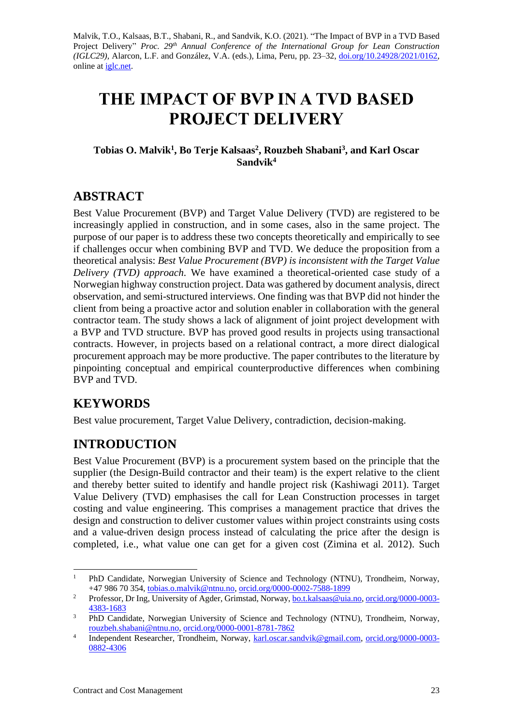Malvik, T.O., Kalsaas, B.T., Shabani, R., and Sandvik, K.O. (2021). "The Impact of BVP in a TVD Based Project Delivery" *Proc. 29<sup>th</sup> Annual Conference of the International Group for Lean Construction (IGLC29),* Alarcon, L.F. and González, V.A. (eds.)*,* Lima, Peru, pp. 23–32, [doi.org/10.24928/2021/0162,](https://doi.org/10.24928/2021/0162) online at [iglc.net.](http://iglc.net/)

# **THE IMPACT OF BVP IN A TVD BASED PROJECT DELIVERY**

### **Tobias O. Malvik<sup>1</sup> , Bo Terje Kalsaas<sup>2</sup> , Rouzbeh Shabani<sup>3</sup> , and Karl Oscar Sandvik<sup>4</sup>**

# **ABSTRACT**

Best Value Procurement (BVP) and Target Value Delivery (TVD) are registered to be increasingly applied in construction, and in some cases, also in the same project. The purpose of our paper is to address these two concepts theoretically and empirically to see if challenges occur when combining BVP and TVD. We deduce the proposition from a theoretical analysis: *Best Value Procurement (BVP) is inconsistent with the Target Value Delivery (TVD) approach.* We have examined a theoretical-oriented case study of a Norwegian highway construction project. Data was gathered by document analysis, direct observation, and semi-structured interviews. One finding was that BVP did not hinder the client from being a proactive actor and solution enabler in collaboration with the general contractor team. The study shows a lack of alignment of joint project development with a BVP and TVD structure. BVP has proved good results in projects using transactional contracts. However, in projects based on a relational contract, a more direct dialogical procurement approach may be more productive. The paper contributes to the literature by pinpointing conceptual and empirical counterproductive differences when combining BVP and TVD.

# **KEYWORDS**

Best value procurement, Target Value Delivery, contradiction, decision-making.

# **INTRODUCTION**

Best Value Procurement (BVP) is a procurement system based on the principle that the supplier (the Design-Build contractor and their team) is the expert relative to the client and thereby better suited to identify and handle project risk (Kashiwagi 2011). Target Value Delivery (TVD) emphasises the call for Lean Construction processes in target costing and value engineering. This comprises a management practice that drives the design and construction to deliver customer values within project constraints using costs and a value-driven design process instead of calculating the price after the design is completed, i.e., what value one can get for a given cost (Zimina et al. 2012). Such

<sup>1</sup> PhD Candidate, Norwegian University of Science and Technology (NTNU), Trondheim, Norway, +47 986 70 354, [tobias.o.malvik@ntnu.no,](mailto:tobias.o.malvik@ntnu.no) [orcid.org/0000-0002-7588-1899](https://orcid.org/0000-0002-7588-1899)

<sup>&</sup>lt;sup>2</sup> Professor, Dr Ing, University of Agder, Grimstad, Norway[, bo.t.kalsaas@uia.no,](mailto:bo.t.kalsaas@uia.no) [orcid.org/0000-0003-](https://orcid.org/0000-0003-4383-1683) [4383-1683](https://orcid.org/0000-0003-4383-1683)

<sup>&</sup>lt;sup>3</sup> PhD Candidate, Norwegian University of Science and Technology (NTNU), Trondheim, Norway, [rouzbeh.shabani@ntnu.no,](mailto:rouzbeh.shabani@ntnu.no) [orcid.org/0000-0001-8781-7862](https://orcid.org/0000-0001-8781-7862)

<sup>4</sup> Independent Researcher, Trondheim, Norway, [karl.oscar.sandvik@gmail.com,](mailto:karl.oscar.sandvik@gmail.com) [orcid.org/0000-0003-](https://orcid.org/0000-0003-0882-4306) [0882-4306](https://orcid.org/0000-0003-0882-4306)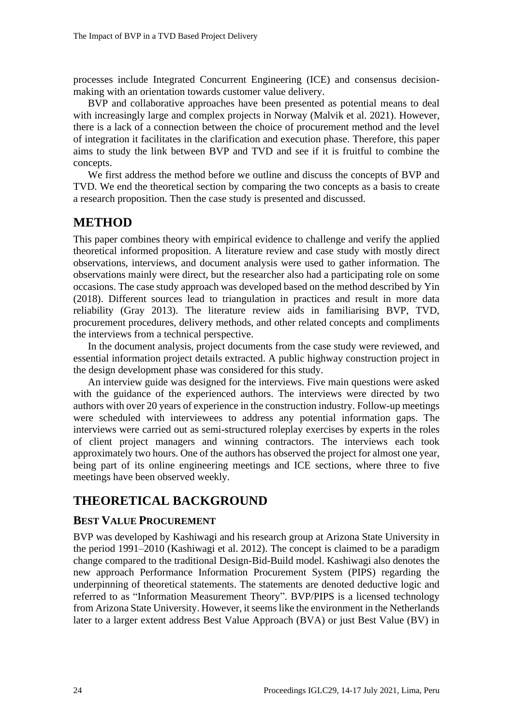processes include Integrated Concurrent Engineering (ICE) and consensus decisionmaking with an orientation towards customer value delivery.

BVP and collaborative approaches have been presented as potential means to deal with increasingly large and complex projects in Norway (Malvik et al. 2021). However, there is a lack of a connection between the choice of procurement method and the level of integration it facilitates in the clarification and execution phase. Therefore, this paper aims to study the link between BVP and TVD and see if it is fruitful to combine the concepts.

We first address the method before we outline and discuss the concepts of BVP and TVD. We end the theoretical section by comparing the two concepts as a basis to create a research proposition. Then the case study is presented and discussed.

### **METHOD**

This paper combines theory with empirical evidence to challenge and verify the applied theoretical informed proposition. A literature review and case study with mostly direct observations, interviews, and document analysis were used to gather information. The observations mainly were direct, but the researcher also had a participating role on some occasions. The case study approach was developed based on the method described by Yin (2018). Different sources lead to triangulation in practices and result in more data reliability (Gray 2013). The literature review aids in familiarising BVP, TVD, procurement procedures, delivery methods, and other related concepts and compliments the interviews from a technical perspective.

In the document analysis, project documents from the case study were reviewed, and essential information project details extracted. A public highway construction project in the design development phase was considered for this study.

An interview guide was designed for the interviews. Five main questions were asked with the guidance of the experienced authors. The interviews were directed by two authors with over 20 years of experience in the construction industry. Follow-up meetings were scheduled with interviewees to address any potential information gaps. The interviews were carried out as semi-structured roleplay exercises by experts in the roles of client project managers and winning contractors. The interviews each took approximately two hours. One of the authors has observed the project for almost one year, being part of its online engineering meetings and ICE sections, where three to five meetings have been observed weekly.

# **THEORETICAL BACKGROUND**

#### **BEST VALUE PROCUREMENT**

BVP was developed by Kashiwagi and his research group at Arizona State University in the period 1991–2010 (Kashiwagi et al. 2012). The concept is claimed to be a paradigm change compared to the traditional Design-Bid-Build model. Kashiwagi also denotes the new approach Performance Information Procurement System (PIPS) regarding the underpinning of theoretical statements. The statements are denoted deductive logic and referred to as "Information Measurement Theory". BVP/PIPS is a licensed technology from Arizona State University. However, it seems like the environment in the Netherlands later to a larger extent address Best Value Approach (BVA) or just Best Value (BV) in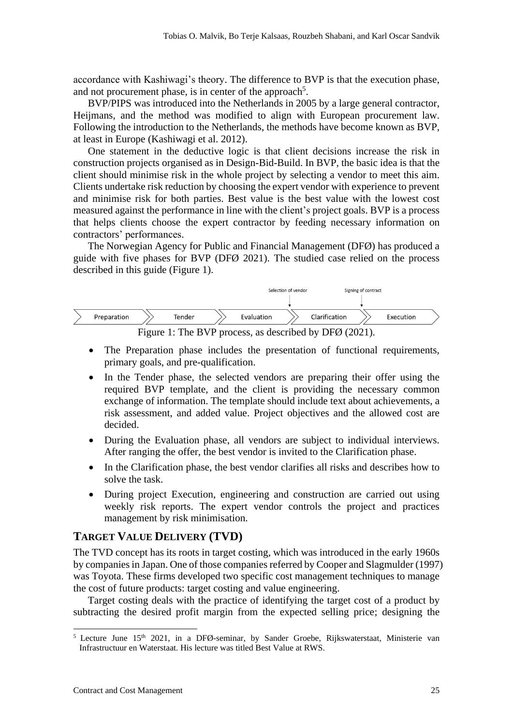accordance with Kashiwagi's theory. The difference to BVP is that the execution phase, and not procurement phase, is in center of the approach<sup>5</sup>.

BVP/PIPS was introduced into the Netherlands in 2005 by a large general contractor, Heijmans, and the method was modified to align with European procurement law. Following the introduction to the Netherlands, the methods have become known as BVP, at least in Europe (Kashiwagi et al. 2012).

One statement in the deductive logic is that client decisions increase the risk in construction projects organised as in Design-Bid-Build. In BVP, the basic idea is that the client should minimise risk in the whole project by selecting a vendor to meet this aim. Clients undertake risk reduction by choosing the expert vendor with experience to prevent and minimise risk for both parties. Best value is the best value with the lowest cost measured against the performance in line with the client's project goals. BVP is a process that helps clients choose the expert contractor by feeding necessary information on contractors' performances.

The Norwegian Agency for Public and Financial Management (DFØ) has produced a guide with five phases for BVP (DFØ 2021). The studied case relied on the process described in this guide (Figure 1).



Figure 1: The BVP process, as described by DFØ (2021).

- The Preparation phase includes the presentation of functional requirements, primary goals, and pre-qualification.
- In the Tender phase, the selected vendors are preparing their offer using the required BVP template, and the client is providing the necessary common exchange of information. The template should include text about achievements, a risk assessment, and added value. Project objectives and the allowed cost are decided.
- During the Evaluation phase, all vendors are subject to individual interviews. After ranging the offer, the best vendor is invited to the Clarification phase.
- In the Clarification phase, the best vendor clarifies all risks and describes how to solve the task.
- During project Execution, engineering and construction are carried out using weekly risk reports. The expert vendor controls the project and practices management by risk minimisation.

#### **TARGET VALUE DELIVERY (TVD)**

The TVD concept has its roots in target costing, which was introduced in the early 1960s by companies in Japan. One of those companies referred by Cooper and Slagmulder (1997) was Toyota. These firms developed two specific cost management techniques to manage the cost of future products: target costing and value engineering.

Target costing deals with the practice of identifying the target cost of a product by subtracting the desired profit margin from the expected selling price; designing the

 $5$  Lecture June 15<sup>th</sup> 2021, in a DFØ-seminar, by Sander Groebe, Rijkswaterstaat, Ministerie van Infrastructuur en Waterstaat. His lecture was titled Best Value at RWS.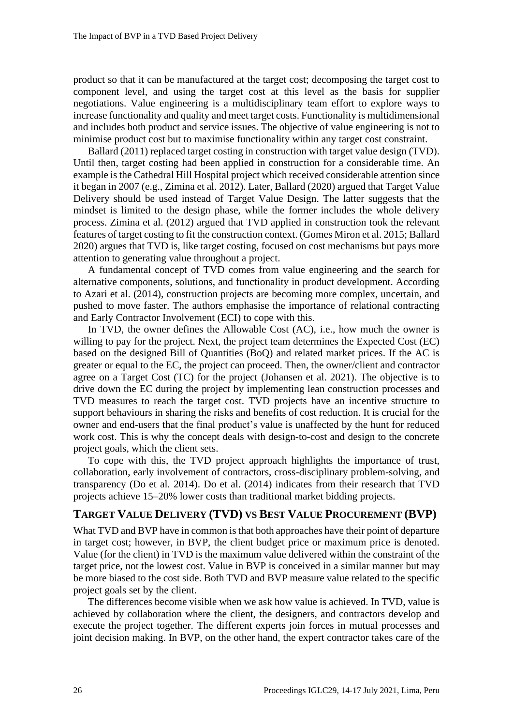product so that it can be manufactured at the target cost; decomposing the target cost to component level, and using the target cost at this level as the basis for supplier negotiations. Value engineering is a multidisciplinary team effort to explore ways to increase functionality and quality and meet target costs. Functionality is multidimensional and includes both product and service issues. The objective of value engineering is not to minimise product cost but to maximise functionality within any target cost constraint.

Ballard (2011) replaced target costing in construction with target value design (TVD). Until then, target costing had been applied in construction for a considerable time. An example is the Cathedral Hill Hospital project which received considerable attention since it began in 2007 (e.g., Zimina et al. 2012). Later, Ballard (2020) argued that Target Value Delivery should be used instead of Target Value Design. The latter suggests that the mindset is limited to the design phase, while the former includes the whole delivery process. Zimina et al. (2012) argued that TVD applied in construction took the relevant features of target costing to fit the construction context. (Gomes Miron et al. 2015; Ballard 2020) argues that TVD is, like target costing, focused on cost mechanisms but pays more attention to generating value throughout a project.

A fundamental concept of TVD comes from value engineering and the search for alternative components, solutions, and functionality in product development. According to Azari et al. (2014), construction projects are becoming more complex, uncertain, and pushed to move faster. The authors emphasise the importance of relational contracting and Early Contractor Involvement (ECI) to cope with this.

In TVD, the owner defines the Allowable Cost (AC), i.e., how much the owner is willing to pay for the project. Next, the project team determines the Expected Cost (EC) based on the designed Bill of Quantities (BoQ) and related market prices. If the AC is greater or equal to the EC, the project can proceed. Then, the owner/client and contractor agree on a Target Cost (TC) for the project (Johansen et al. 2021). The objective is to drive down the EC during the project by implementing lean construction processes and TVD measures to reach the target cost. TVD projects have an incentive structure to support behaviours in sharing the risks and benefits of cost reduction. It is crucial for the owner and end-users that the final product's value is unaffected by the hunt for reduced work cost. This is why the concept deals with design-to-cost and design to the concrete project goals, which the client sets.

To cope with this, the TVD project approach highlights the importance of trust, collaboration, early involvement of contractors, cross-disciplinary problem-solving, and transparency (Do et al. 2014). Do et al. (2014) indicates from their research that TVD projects achieve 15–20% lower costs than traditional market bidding projects.

#### **TARGET VALUE DELIVERY (TVD) VS BEST VALUE PROCUREMENT (BVP)**

What TVD and BVP have in common is that both approaches have their point of departure in target cost; however, in BVP, the client budget price or maximum price is denoted. Value (for the client) in TVD is the maximum value delivered within the constraint of the target price, not the lowest cost. Value in BVP is conceived in a similar manner but may be more biased to the cost side. Both TVD and BVP measure value related to the specific project goals set by the client.

The differences become visible when we ask how value is achieved. In TVD, value is achieved by collaboration where the client, the designers, and contractors develop and execute the project together. The different experts join forces in mutual processes and joint decision making. In BVP, on the other hand, the expert contractor takes care of the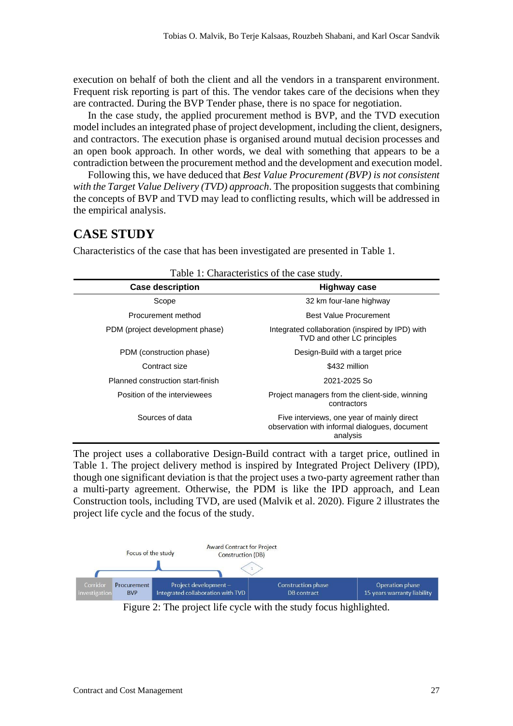execution on behalf of both the client and all the vendors in a transparent environment. Frequent risk reporting is part of this. The vendor takes care of the decisions when they are contracted. During the BVP Tender phase, there is no space for negotiation.

In the case study, the applied procurement method is BVP, and the TVD execution model includes an integrated phase of project development, including the client, designers, and contractors. The execution phase is organised around mutual decision processes and an open book approach. In other words, we deal with something that appears to be a contradiction between the procurement method and the development and execution model.

Following this, we have deduced that *Best Value Procurement (BVP) is not consistent with the Target Value Delivery (TVD) approach*. The proposition suggests that combining the concepts of BVP and TVD may lead to conflicting results, which will be addressed in the empirical analysis.

### **CASE STUDY**

Characteristics of the case that has been investigated are presented in Table 1.

| I able 1. Characteristics of the case study. |                                                                                                         |  |  |  |
|----------------------------------------------|---------------------------------------------------------------------------------------------------------|--|--|--|
| <b>Case description</b>                      | <b>Highway case</b>                                                                                     |  |  |  |
| Scope                                        | 32 km four-lane highway                                                                                 |  |  |  |
| Procurement method                           | <b>Best Value Procurement</b>                                                                           |  |  |  |
| PDM (project development phase)              | Integrated collaboration (inspired by IPD) with<br>TVD and other LC principles                          |  |  |  |
| PDM (construction phase)                     | Design-Build with a target price                                                                        |  |  |  |
| Contract size                                | \$432 million                                                                                           |  |  |  |
| Planned construction start-finish            | 2021-2025 So                                                                                            |  |  |  |
| Position of the interviewees                 | Project managers from the client-side, winning<br>contractors                                           |  |  |  |
| Sources of data                              | Five interviews, one year of mainly direct<br>observation with informal dialogues, document<br>analysis |  |  |  |

|  |  | Table 1: Characteristics of the case study. |  |  |  |
|--|--|---------------------------------------------|--|--|--|
|--|--|---------------------------------------------|--|--|--|

The project uses a collaborative Design-Build contract with a target price, outlined in Table 1. The project delivery method is inspired by Integrated Project Delivery (IPD), though one significant deviation is that the project uses a two-party agreement rather than a multi-party agreement. Otherwise, the PDM is like the IPD approach, and Lean Construction tools, including TVD, are used (Malvik et al. 2020). Figure 2 illustrates the project life cycle and the focus of the study.



Figure 2: The project life cycle with the study focus highlighted.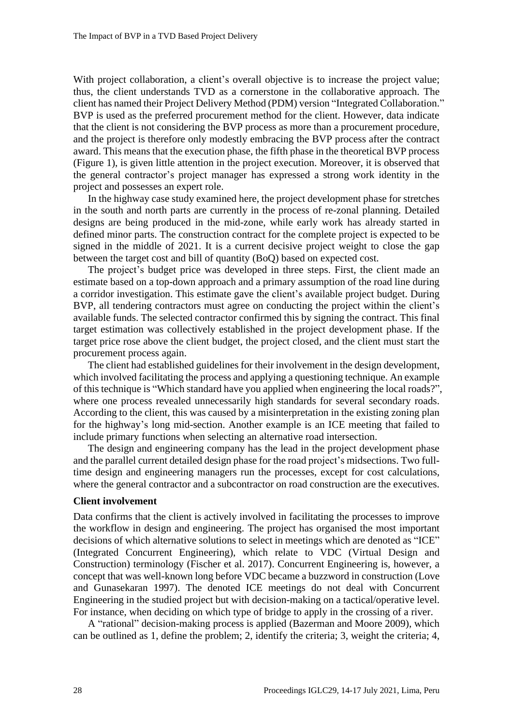With project collaboration, a client's overall objective is to increase the project value; thus, the client understands TVD as a cornerstone in the collaborative approach. The client has named their Project Delivery Method (PDM) version "Integrated Collaboration." BVP is used as the preferred procurement method for the client. However, data indicate that the client is not considering the BVP process as more than a procurement procedure, and the project is therefore only modestly embracing the BVP process after the contract award. This means that the execution phase, the fifth phase in the theoretical BVP process (Figure 1), is given little attention in the project execution. Moreover, it is observed that the general contractor's project manager has expressed a strong work identity in the project and possesses an expert role.

In the highway case study examined here, the project development phase for stretches in the south and north parts are currently in the process of re-zonal planning. Detailed designs are being produced in the mid-zone, while early work has already started in defined minor parts. The construction contract for the complete project is expected to be signed in the middle of 2021. It is a current decisive project weight to close the gap between the target cost and bill of quantity (BoQ) based on expected cost.

The project's budget price was developed in three steps. First, the client made an estimate based on a top-down approach and a primary assumption of the road line during a corridor investigation. This estimate gave the client's available project budget. During BVP, all tendering contractors must agree on conducting the project within the client's available funds. The selected contractor confirmed this by signing the contract. This final target estimation was collectively established in the project development phase. If the target price rose above the client budget, the project closed, and the client must start the procurement process again.

The client had established guidelines for their involvement in the design development, which involved facilitating the process and applying a questioning technique. An example of this technique is "Which standard have you applied when engineering the local roads?", where one process revealed unnecessarily high standards for several secondary roads. According to the client, this was caused by a misinterpretation in the existing zoning plan for the highway's long mid-section. Another example is an ICE meeting that failed to include primary functions when selecting an alternative road intersection.

The design and engineering company has the lead in the project development phase and the parallel current detailed design phase for the road project's midsections. Two fulltime design and engineering managers run the processes, except for cost calculations, where the general contractor and a subcontractor on road construction are the executives.

#### **Client involvement**

Data confirms that the client is actively involved in facilitating the processes to improve the workflow in design and engineering. The project has organised the most important decisions of which alternative solutions to select in meetings which are denoted as "ICE" (Integrated Concurrent Engineering), which relate to VDC (Virtual Design and Construction) terminology (Fischer et al. 2017). Concurrent Engineering is, however, a concept that was well-known long before VDC became a buzzword in construction (Love and Gunasekaran 1997). The denoted ICE meetings do not deal with Concurrent Engineering in the studied project but with decision-making on a tactical/operative level. For instance, when deciding on which type of bridge to apply in the crossing of a river.

A "rational" decision-making process is applied (Bazerman and Moore 2009), which can be outlined as 1, define the problem; 2, identify the criteria; 3, weight the criteria; 4,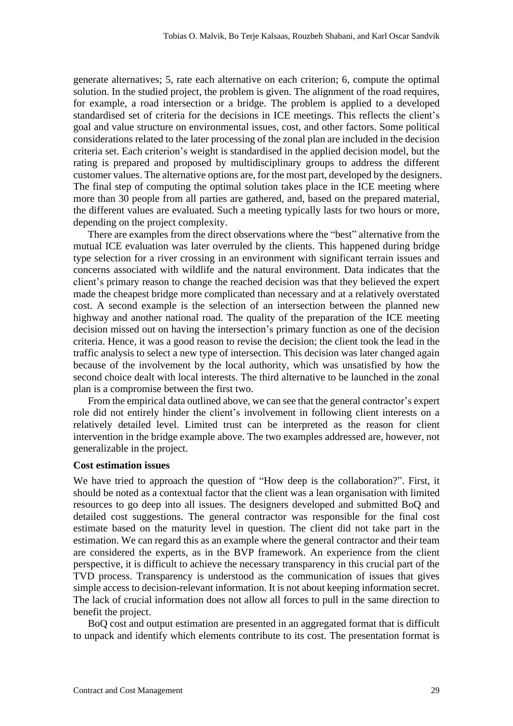generate alternatives; 5, rate each alternative on each criterion; 6, compute the optimal solution. In the studied project, the problem is given. The alignment of the road requires, for example, a road intersection or a bridge. The problem is applied to a developed standardised set of criteria for the decisions in ICE meetings. This reflects the client's goal and value structure on environmental issues, cost, and other factors. Some political considerations related to the later processing of the zonal plan are included in the decision criteria set. Each criterion's weight is standardised in the applied decision model, but the rating is prepared and proposed by multidisciplinary groups to address the different customer values. The alternative options are, for the most part, developed by the designers. The final step of computing the optimal solution takes place in the ICE meeting where more than 30 people from all parties are gathered, and, based on the prepared material, the different values are evaluated. Such a meeting typically lasts for two hours or more, depending on the project complexity.

There are examples from the direct observations where the "best" alternative from the mutual ICE evaluation was later overruled by the clients. This happened during bridge type selection for a river crossing in an environment with significant terrain issues and concerns associated with wildlife and the natural environment. Data indicates that the client's primary reason to change the reached decision was that they believed the expert made the cheapest bridge more complicated than necessary and at a relatively overstated cost. A second example is the selection of an intersection between the planned new highway and another national road. The quality of the preparation of the ICE meeting decision missed out on having the intersection's primary function as one of the decision criteria. Hence, it was a good reason to revise the decision; the client took the lead in the traffic analysis to select a new type of intersection. This decision was later changed again because of the involvement by the local authority, which was unsatisfied by how the second choice dealt with local interests. The third alternative to be launched in the zonal plan is a compromise between the first two.

From the empirical data outlined above, we can see that the general contractor's expert role did not entirely hinder the client's involvement in following client interests on a relatively detailed level. Limited trust can be interpreted as the reason for client intervention in the bridge example above. The two examples addressed are, however, not generalizable in the project.

#### **Cost estimation issues**

We have tried to approach the question of "How deep is the collaboration?". First, it should be noted as a contextual factor that the client was a lean organisation with limited resources to go deep into all issues. The designers developed and submitted BoQ and detailed cost suggestions. The general contractor was responsible for the final cost estimate based on the maturity level in question. The client did not take part in the estimation. We can regard this as an example where the general contractor and their team are considered the experts, as in the BVP framework. An experience from the client perspective, it is difficult to achieve the necessary transparency in this crucial part of the TVD process. Transparency is understood as the communication of issues that gives simple access to decision-relevant information. It is not about keeping information secret. The lack of crucial information does not allow all forces to pull in the same direction to benefit the project.

BoQ cost and output estimation are presented in an aggregated format that is difficult to unpack and identify which elements contribute to its cost. The presentation format is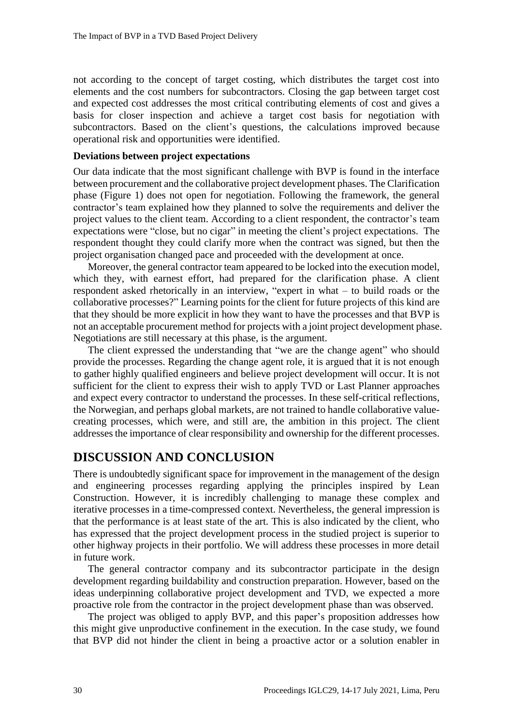not according to the concept of target costing, which distributes the target cost into elements and the cost numbers for subcontractors. Closing the gap between target cost and expected cost addresses the most critical contributing elements of cost and gives a basis for closer inspection and achieve a target cost basis for negotiation with subcontractors. Based on the client's questions, the calculations improved because operational risk and opportunities were identified.

#### **Deviations between project expectations**

Our data indicate that the most significant challenge with BVP is found in the interface between procurement and the collaborative project development phases. The Clarification phase (Figure 1) does not open for negotiation. Following the framework, the general contractor's team explained how they planned to solve the requirements and deliver the project values to the client team. According to a client respondent, the contractor's team expectations were "close, but no cigar" in meeting the client's project expectations. The respondent thought they could clarify more when the contract was signed, but then the project organisation changed pace and proceeded with the development at once.

Moreover, the general contractor team appeared to be locked into the execution model, which they, with earnest effort, had prepared for the clarification phase. A client respondent asked rhetorically in an interview, "expert in what – to build roads or the collaborative processes?" Learning points for the client for future projects of this kind are that they should be more explicit in how they want to have the processes and that BVP is not an acceptable procurement method for projects with a joint project development phase. Negotiations are still necessary at this phase, is the argument.

The client expressed the understanding that "we are the change agent" who should provide the processes. Regarding the change agent role, it is argued that it is not enough to gather highly qualified engineers and believe project development will occur. It is not sufficient for the client to express their wish to apply TVD or Last Planner approaches and expect every contractor to understand the processes. In these self-critical reflections, the Norwegian, and perhaps global markets, are not trained to handle collaborative valuecreating processes, which were, and still are, the ambition in this project. The client addresses the importance of clear responsibility and ownership for the different processes.

# **DISCUSSION AND CONCLUSION**

There is undoubtedly significant space for improvement in the management of the design and engineering processes regarding applying the principles inspired by Lean Construction. However, it is incredibly challenging to manage these complex and iterative processes in a time-compressed context. Nevertheless, the general impression is that the performance is at least state of the art. This is also indicated by the client, who has expressed that the project development process in the studied project is superior to other highway projects in their portfolio. We will address these processes in more detail in future work.

The general contractor company and its subcontractor participate in the design development regarding buildability and construction preparation. However, based on the ideas underpinning collaborative project development and TVD, we expected a more proactive role from the contractor in the project development phase than was observed.

The project was obliged to apply BVP, and this paper's proposition addresses how this might give unproductive confinement in the execution. In the case study, we found that BVP did not hinder the client in being a proactive actor or a solution enabler in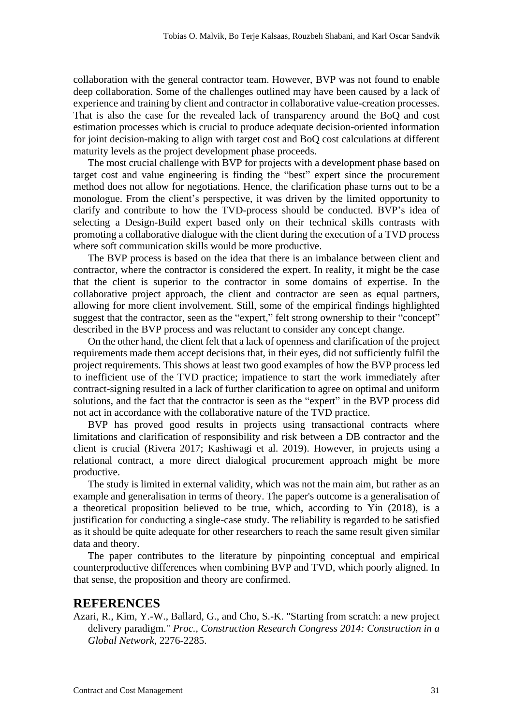collaboration with the general contractor team. However, BVP was not found to enable deep collaboration. Some of the challenges outlined may have been caused by a lack of experience and training by client and contractor in collaborative value-creation processes. That is also the case for the revealed lack of transparency around the BoQ and cost estimation processes which is crucial to produce adequate decision-oriented information for joint decision-making to align with target cost and BoQ cost calculations at different maturity levels as the project development phase proceeds.

The most crucial challenge with BVP for projects with a development phase based on target cost and value engineering is finding the "best" expert since the procurement method does not allow for negotiations. Hence, the clarification phase turns out to be a monologue. From the client's perspective, it was driven by the limited opportunity to clarify and contribute to how the TVD-process should be conducted. BVP's idea of selecting a Design-Build expert based only on their technical skills contrasts with promoting a collaborative dialogue with the client during the execution of a TVD process where soft communication skills would be more productive.

The BVP process is based on the idea that there is an imbalance between client and contractor, where the contractor is considered the expert. In reality, it might be the case that the client is superior to the contractor in some domains of expertise. In the collaborative project approach, the client and contractor are seen as equal partners, allowing for more client involvement. Still, some of the empirical findings highlighted suggest that the contractor, seen as the "expert," felt strong ownership to their "concept" described in the BVP process and was reluctant to consider any concept change.

On the other hand, the client felt that a lack of openness and clarification of the project requirements made them accept decisions that, in their eyes, did not sufficiently fulfil the project requirements. This shows at least two good examples of how the BVP process led to inefficient use of the TVD practice; impatience to start the work immediately after contract-signing resulted in a lack of further clarification to agree on optimal and uniform solutions, and the fact that the contractor is seen as the "expert" in the BVP process did not act in accordance with the collaborative nature of the TVD practice.

BVP has proved good results in projects using transactional contracts where limitations and clarification of responsibility and risk between a DB contractor and the client is crucial (Rivera 2017; Kashiwagi et al. 2019). However, in projects using a relational contract, a more direct dialogical procurement approach might be more productive.

The study is limited in external validity, which was not the main aim, but rather as an example and generalisation in terms of theory. The paper's outcome is a generalisation of a theoretical proposition believed to be true, which, according to Yin (2018), is a justification for conducting a single-case study. The reliability is regarded to be satisfied as it should be quite adequate for other researchers to reach the same result given similar data and theory.

The paper contributes to the literature by pinpointing conceptual and empirical counterproductive differences when combining BVP and TVD, which poorly aligned. In that sense, the proposition and theory are confirmed.

#### **REFERENCES**

Azari, R., Kim, Y.-W., Ballard, G., and Cho, S.-K. "Starting from scratch: a new project delivery paradigm." *Proc., Construction Research Congress 2014: Construction in a Global Network*, 2276-2285.